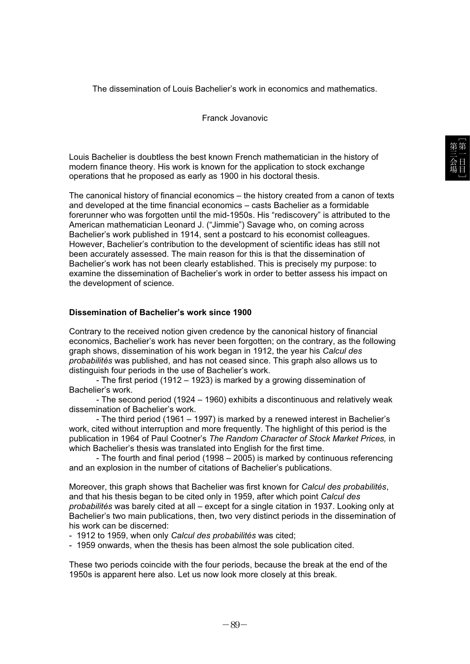The dissemination of Louis Bachelier's work in economics and mathematics.

Franck Jovanovic

Louis Bachelier is doubtless the best known French mathematician in the history of modern finance theory. His work is known for the application to stock exchange operations that he proposed as early as 1900 in his doctoral thesis.

The canonical history of financial economics – the history created from a canon of texts and developed at the time financial economics – casts Bachelier as a formidable forerunner who was forgotten until the mid-1950s. His "rediscovery" is attributed to the American mathematician Leonard J. ("Jimmie") Savage who, on coming across Bachelier's work published in 1914, sent a postcard to his economist colleagues. However, Bachelier's contribution to the development of scientific ideas has still not been accurately assessed. The main reason for this is that the dissemination of Bachelier's work has not been clearly established. This is precisely my purpose: to examine the dissemination of Bachelier's work in order to better assess his impact on the development of science.

## **Dissemination of Bachelier's work since 1900**

Contrary to the received notion given credence by the canonical history of financial economics, Bachelier's work has never been forgotten; on the contrary, as the following graph shows, dissemination of his work began in 1912, the year his *Calcul des probabilités* was published, and has not ceased since. This graph also allows us to distinguish four periods in the use of Bachelier's work.

- The first period (1912 – 1923) is marked by a growing dissemination of Bachelier's work.

- The second period (1924 – 1960) exhibits a discontinuous and relatively weak dissemination of Bachelier's work.

- The third period (1961 – 1997) is marked by a renewed interest in Bachelier's work, cited without interruption and more frequently. The highlight of this period is the publication in 1964 of Paul Cootner's *The Random Character of Stock Market Prices,* in which Bachelier's thesis was translated into English for the first time.

- The fourth and final period (1998 – 2005) is marked by continuous referencing and an explosion in the number of citations of Bachelier's publications.

Moreover, this graph shows that Bachelier was first known for *Calcul des probabilités*, and that his thesis began to be cited only in 1959, after which point *Calcul des probabilités* was barely cited at all – except for a single citation in 1937. Looking only at Bachelier's two main publications, then, two very distinct periods in the dissemination of his work can be discerned:

- 1912 to 1959, when only *Calcul des probabilités* was cited;

- 1959 onwards, when the thesis has been almost the sole publication cited.

These two periods coincide with the four periods, because the break at the end of the 1950s is apparent here also. Let us now look more closely at this break.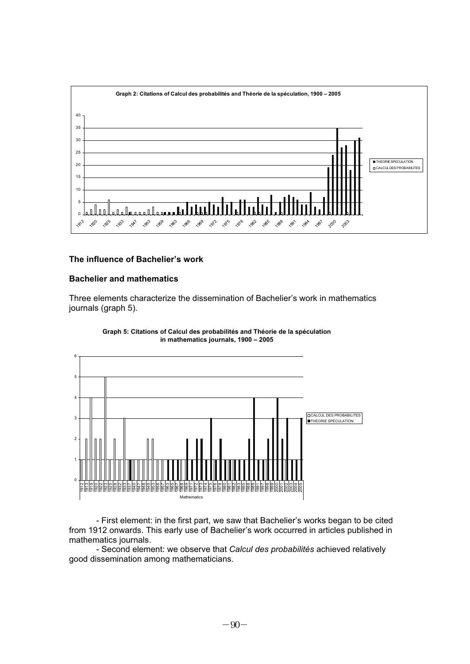

## **The influence of Bachelier's work**

## **Bachelier and mathematics**

Three elements characterize the dissemination of Bachelier's work in mathematics journals (graph 5).



**Graph 5: Citations of Calcul des probabilités and Théorie de la spéculation in mathematics journals, 1900 – 2005**

- First element: in the first part, we saw that Bachelier's works began to be cited from 1912 onwards. This early use of Bachelier's work occurred in articles published in mathematics journals.

- Second element: we observe that *Calcul des probabilités* achieved relatively good dissemination among mathematicians.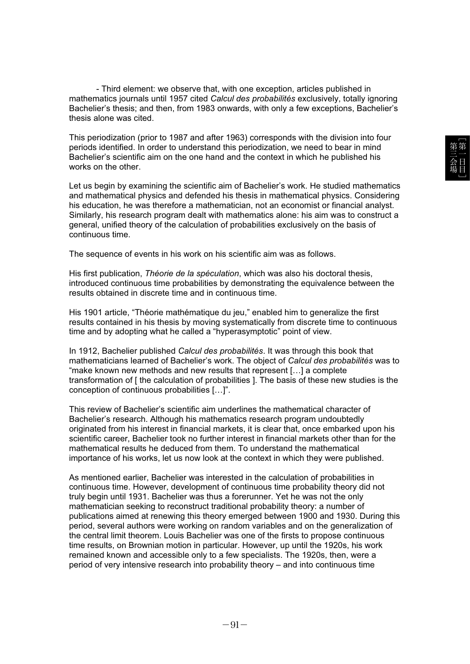- Third element: we observe that, with one exception, articles published in mathematics journals until 1957 cited *Calcul des probabilités* exclusively, totally ignoring Bachelier's thesis; and then, from 1983 onwards, with only a few exceptions, Bachelier's thesis alone was cited.

This periodization (prior to 1987 and after 1963) corresponds with the division into four periods identified. In order to understand this periodization, we need to bear in mind Bachelier's scientific aim on the one hand and the context in which he published his works on the other.

Let us begin by examining the scientific aim of Bachelier's work. He studied mathematics and mathematical physics and defended his thesis in mathematical physics. Considering his education, he was therefore a mathematician, not an economist or financial analyst. Similarly, his research program dealt with mathematics alone: his aim was to construct a general, unified theory of the calculation of probabilities exclusively on the basis of continuous time.

The sequence of events in his work on his scientific aim was as follows.

His first publication, *Théorie de la spéculation*, which was also his doctoral thesis, introduced continuous time probabilities by demonstrating the equivalence between the results obtained in discrete time and in continuous time.

His 1901 article, "Théorie mathématique du jeu," enabled him to generalize the first results contained in his thesis by moving systematically from discrete time to continuous time and by adopting what he called a "hyperasymptotic" point of view.

In 1912, Bachelier published *Calcul des probabilités*. It was through this book that mathematicians learned of Bachelier's work. The object of *Calcul des probabilités* was to "make known new methods and new results that represent […] a complete transformation of [ the calculation of probabilities ]. The basis of these new studies is the conception of continuous probabilities […]".

This review of Bachelier's scientific aim underlines the mathematical character of Bachelier's research. Although his mathematics research program undoubtedly originated from his interest in financial markets, it is clear that, once embarked upon his scientific career, Bachelier took no further interest in financial markets other than for the mathematical results he deduced from them. To understand the mathematical importance of his works, let us now look at the context in which they were published.

As mentioned earlier, Bachelier was interested in the calculation of probabilities in continuous time. However, development of continuous time probability theory did not truly begin until 1931. Bachelier was thus a forerunner. Yet he was not the only mathematician seeking to reconstruct traditional probability theory: a number of publications aimed at renewing this theory emerged between 1900 and 1930. During this period, several authors were working on random variables and on the generalization of the central limit theorem. Louis Bachelier was one of the firsts to propose continuous time results, on Brownian motion in particular. However, up until the 1920s, his work remained known and accessible only to a few specialists. The 1920s, then, were a period of very intensive research into probability theory – and into continuous time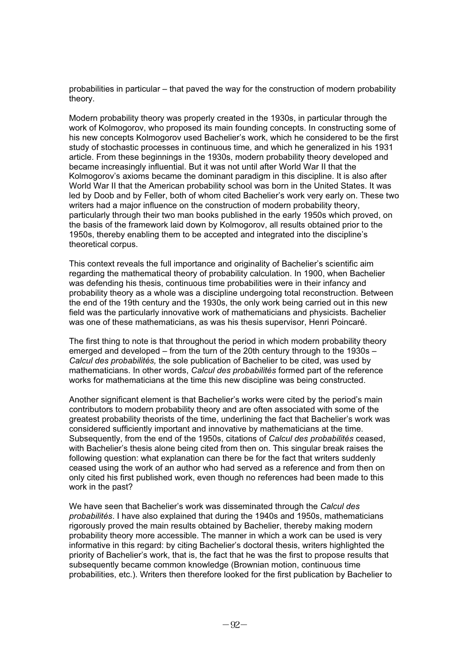probabilities in particular – that paved the way for the construction of modern probability theory.

Modern probability theory was properly created in the 1930s, in particular through the work of Kolmogorov, who proposed its main founding concepts. In constructing some of his new concepts Kolmogorov used Bachelier's work, which he considered to be the first study of stochastic processes in continuous time, and which he generalized in his 1931 article. From these beginnings in the 1930s, modern probability theory developed and became increasingly influential. But it was not until after World War II that the Kolmogorov's axioms became the dominant paradigm in this discipline. It is also after World War II that the American probability school was born in the United States. It was led by Doob and by Feller, both of whom cited Bachelier's work very early on. These two writers had a major influence on the construction of modern probability theory, particularly through their two man books published in the early 1950s which proved, on the basis of the framework laid down by Kolmogorov, all results obtained prior to the 1950s, thereby enabling them to be accepted and integrated into the discipline's theoretical corpus.

This context reveals the full importance and originality of Bachelier's scientific aim regarding the mathematical theory of probability calculation. In 1900, when Bachelier was defending his thesis, continuous time probabilities were in their infancy and probability theory as a whole was a discipline undergoing total reconstruction. Between the end of the 19th century and the 1930s, the only work being carried out in this new field was the particularly innovative work of mathematicians and physicists. Bachelier was one of these mathematicians, as was his thesis supervisor, Henri Poincaré.

The first thing to note is that throughout the period in which modern probability theory emerged and developed – from the turn of the 20th century through to the 1930s – *Calcul des probabilités,* the sole publication of Bachelier to be cited, was used by mathematicians. In other words, *Calcul des probabilités* formed part of the reference works for mathematicians at the time this new discipline was being constructed.

Another significant element is that Bachelier's works were cited by the period's main contributors to modern probability theory and are often associated with some of the greatest probability theorists of the time, underlining the fact that Bachelier's work was considered sufficiently important and innovative by mathematicians at the time. Subsequently, from the end of the 1950s, citations of *Calcul des probabilités* ceased, with Bachelier's thesis alone being cited from then on. This singular break raises the following question: what explanation can there be for the fact that writers suddenly ceased using the work of an author who had served as a reference and from then on only cited his first published work, even though no references had been made to this work in the past?

We have seen that Bachelier's work was disseminated through the *Calcul des probabilités*. I have also explained that during the 1940s and 1950s, mathematicians rigorously proved the main results obtained by Bachelier, thereby making modern probability theory more accessible. The manner in which a work can be used is very informative in this regard: by citing Bachelier's doctoral thesis, writers highlighted the priority of Bachelier's work, that is, the fact that he was the first to propose results that subsequently became common knowledge (Brownian motion, continuous time probabilities, etc.). Writers then therefore looked for the first publication by Bachelier to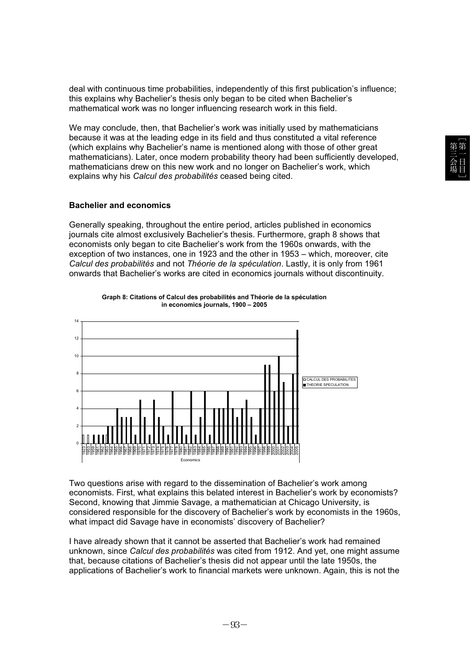deal with continuous time probabilities, independently of this first publication's influence; this explains why Bachelier's thesis only began to be cited when Bachelier's mathematical work was no longer influencing research work in this field.

We may conclude, then, that Bachelier's work was initially used by mathematicians because it was at the leading edge in its field and thus constituted a vital reference (which explains why Bachelier's name is mentioned along with those of other great mathematicians). Later, once modern probability theory had been sufficiently developed, mathematicians drew on this new work and no longer on Bachelier's work, which explains why his *Calcul des probabilités* ceased being cited.

## **Bachelier and economics**

Generally speaking, throughout the entire period, articles published in economics journals cite almost exclusively Bachelier's thesis. Furthermore, graph 8 shows that economists only began to cite Bachelier's work from the 1960s onwards, with the exception of two instances, one in 1923 and the other in 1953 – which, moreover, cite *Calcul des probabilités* and not *Théorie de la spéculation*. Lastly, it is only from 1961 onwards that Bachelier's works are cited in economics journals without discontinuity.



**Graph 8: Citations of Calcul des probabilités and Théorie de la spéculation in economics journals, 1900 – 2005**

Two questions arise with regard to the dissemination of Bachelier's work among economists. First, what explains this belated interest in Bachelier's work by economists? Second, knowing that Jimmie Savage, a mathematician at Chicago University, is considered responsible for the discovery of Bachelier's work by economists in the 1960s, what impact did Savage have in economists' discovery of Bachelier?

I have already shown that it cannot be asserted that Bachelier's work had remained unknown, since *Calcul des probabilités* was cited from 1912. And yet, one might assume that, because citations of Bachelier's thesis did not appear until the late 1950s, the applications of Bachelier's work to financial markets were unknown. Again, this is not the